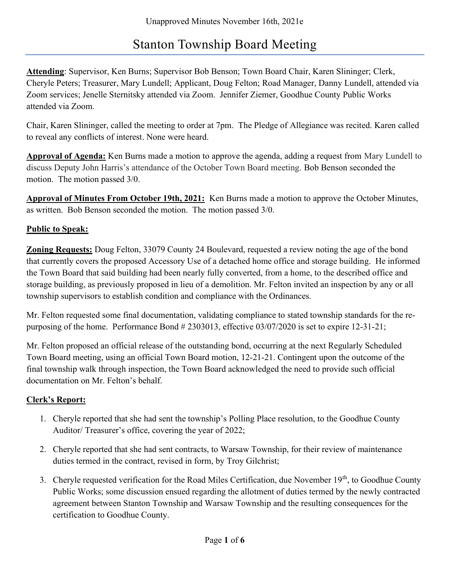# Stanton Township Board Meeting

Attending: Supervisor, Ken Burns; Supervisor Bob Benson; Town Board Chair, Karen Slininger; Clerk, Cheryle Peters; Treasurer, Mary Lundell; Applicant, Doug Felton; Road Manager, Danny Lundell, attended via Zoom services; Jenelle Sternitsky attended via Zoom. Jennifer Ziemer, Goodhue County Public Works attended via Zoom.

Chair, Karen Slininger, called the meeting to order at 7pm. The Pledge of Allegiance was recited. Karen called to reveal any conflicts of interest. None were heard.

Approval of Agenda: Ken Burns made a motion to approve the agenda, adding a request from Mary Lundell to discuss Deputy John Harris's attendance of the October Town Board meeting. Bob Benson seconded the motion. The motion passed 3/0.

Approval of Minutes From October 19th, 2021: Ken Burns made a motion to approve the October Minutes, as written. Bob Benson seconded the motion. The motion passed 3/0.

### Public to Speak:

**Zoning Requests:** Doug Felton, 33079 County 24 Boulevard, requested a review noting the age of the bond that currently covers the proposed Accessory Use of a detached home office and storage building. He informed the Town Board that said building had been nearly fully converted, from a home, to the described office and storage building, as previously proposed in lieu of a demolition. Mr. Felton invited an inspection by any or all township supervisors to establish condition and compliance with the Ordinances.

Mr. Felton requested some final documentation, validating compliance to stated township standards for the repurposing of the home. Performance Bond # 2303013, effective 03/07/2020 is set to expire 12-31-21;

Mr. Felton proposed an official release of the outstanding bond, occurring at the next Regularly Scheduled Town Board meeting, using an official Town Board motion, 12-21-21. Contingent upon the outcome of the final township walk through inspection, the Town Board acknowledged the need to provide such official documentation on Mr. Felton's behalf.

## Clerk's Report:

- 1. Cheryle reported that she had sent the township's Polling Place resolution, to the Goodhue County Auditor/ Treasurer's office, covering the year of 2022;
- 2. Cheryle reported that she had sent contracts, to Warsaw Township, for their review of maintenance duties termed in the contract, revised in form, by Troy Gilchrist;
- 3. Cheryle requested verification for the Road Miles Certification, due November 19<sup>th</sup>, to Goodhue County Public Works; some discussion ensued regarding the allotment of duties termed by the newly contracted agreement between Stanton Township and Warsaw Township and the resulting consequences for the certification to Goodhue County.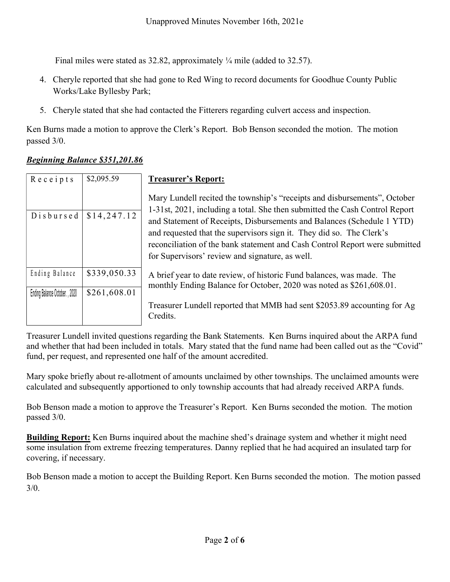- 4. Cheryle reported that she had gone to Red Wing to record documents for Goodhue County Public Works/Lake Byllesby Park;
- 5. Cheryle stated that she had contacted the Fitterers regarding culvert access and inspection.

#### Beginning Balance \$351,201.86

| Unapproved Minutes November 16th, 2021e                                                                                      |                              |                                                                                                                                                                                                                                                                                                                                                                                                                                              |
|------------------------------------------------------------------------------------------------------------------------------|------------------------------|----------------------------------------------------------------------------------------------------------------------------------------------------------------------------------------------------------------------------------------------------------------------------------------------------------------------------------------------------------------------------------------------------------------------------------------------|
| Final miles were stated as 32.82, approximately $\frac{1}{4}$ mile (added to 32.57).                                         |                              |                                                                                                                                                                                                                                                                                                                                                                                                                                              |
| 4. Cheryle reported that she had gone to Red Wing to record documents for Goodhue County Public<br>Works/Lake Byllesby Park; |                              |                                                                                                                                                                                                                                                                                                                                                                                                                                              |
| 5. Cheryle stated that she had contacted the Fitterers regarding culvert access and inspection.                              |                              |                                                                                                                                                                                                                                                                                                                                                                                                                                              |
| Ken Burns made a motion to approve the Clerk's Report. Bob Benson seconded the motion. The motion<br>passed 3/0.             |                              |                                                                                                                                                                                                                                                                                                                                                                                                                                              |
| <b>Beginning Balance \$351,201.86</b>                                                                                        |                              |                                                                                                                                                                                                                                                                                                                                                                                                                                              |
| Receipts                                                                                                                     | \$2,095.59                   | <b>Treasurer's Report:</b>                                                                                                                                                                                                                                                                                                                                                                                                                   |
| Disbursed                                                                                                                    | \$14,247.12                  | Mary Lundell recited the township's "receipts and disbursements", October<br>1-31st, 2021, including a total. She then submitted the Cash Control Report<br>and Statement of Receipts, Disbursements and Balances (Schedule 1 YTD)<br>and requested that the supervisors sign it. They did so. The Clerk's<br>reconciliation of the bank statement and Cash Control Report were submitted<br>for Supervisors' review and signature, as well. |
| Ending Balance<br>Ending Balance October., 2020                                                                              | \$339,050.33<br>\$261,608.01 | A brief year to date review, of historic Fund balances, was made. The<br>monthly Ending Balance for October, 2020 was noted as \$261,608.01.                                                                                                                                                                                                                                                                                                 |
|                                                                                                                              |                              | Treasurer Lundell reported that MMB had sent \$2053.89 accounting for Ag<br>Credits.                                                                                                                                                                                                                                                                                                                                                         |

Treasurer Lundell invited questions regarding the Bank Statements. Ken Burns inquired about the ARPA fund and whether that had been included in totals. Mary stated that the fund name had been called out as the "Covid" fund, per request, and represented one half of the amount accredited.

Mary spoke briefly about re-allotment of amounts unclaimed by other townships. The unclaimed amounts were calculated and subsequently apportioned to only township accounts that had already received ARPA funds.

Bob Benson made a motion to approve the Treasurer's Report. Ken Burns seconded the motion. The motion passed 3/0.

Building Report: Ken Burns inquired about the machine shed's drainage system and whether it might need some insulation from extreme freezing temperatures. Danny replied that he had acquired an insulated tarp for covering, if necessary.

Bob Benson made a motion to accept the Building Report. Ken Burns seconded the motion. The motion passed 3/0.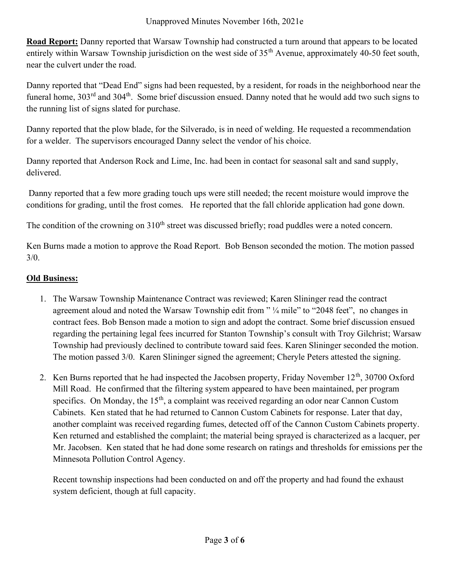Road Report: Danny reported that Warsaw Township had constructed a turn around that appears to be located entirely within Warsaw Township jurisdiction on the west side of 35<sup>th</sup> Avenue, approximately 40-50 feet south, near the culvert under the road.

Danny reported that "Dead End" signs had been requested, by a resident, for roads in the neighborhood near the funeral home,  $303^{\text{rd}}$  and  $304^{\text{th}}$ . Some brief discussion ensued. Danny noted that he would add two such signs to the running list of signs slated for purchase.

Danny reported that the plow blade, for the Silverado, is in need of welding. He requested a recommendation for a welder. The supervisors encouraged Danny select the vendor of his choice.

Danny reported that Anderson Rock and Lime, Inc. had been in contact for seasonal salt and sand supply, delivered.

 Danny reported that a few more grading touch ups were still needed; the recent moisture would improve the conditions for grading, until the frost comes. He reported that the fall chloride application had gone down.

The condition of the crowning on 310<sup>th</sup> street was discussed briefly; road puddles were a noted concern.

Ken Burns made a motion to approve the Road Report. Bob Benson seconded the motion. The motion passed 3/0.

## Old Business:

- 1. The Warsaw Township Maintenance Contract was reviewed; Karen Slininger read the contract agreement aloud and noted the Warsaw Township edit from " ¼ mile" to "2048 feet", no changes in contract fees. Bob Benson made a motion to sign and adopt the contract. Some brief discussion ensued regarding the pertaining legal fees incurred for Stanton Township's consult with Troy Gilchrist; Warsaw Township had previously declined to contribute toward said fees. Karen Slininger seconded the motion. The motion passed 3/0. Karen Slininger signed the agreement; Cheryle Peters attested the signing.
- 2. Ken Burns reported that he had inspected the Jacobsen property, Friday November 12<sup>th</sup>, 30700 Oxford Mill Road. He confirmed that the filtering system appeared to have been maintained, per program specifics. On Monday, the  $15<sup>th</sup>$ , a complaint was received regarding an odor near Cannon Custom Cabinets. Ken stated that he had returned to Cannon Custom Cabinets for response. Later that day, another complaint was received regarding fumes, detected off of the Cannon Custom Cabinets property. Ken returned and established the complaint; the material being sprayed is characterized as a lacquer, per Mr. Jacobsen. Ken stated that he had done some research on ratings and thresholds for emissions per the Minnesota Pollution Control Agency.

Recent township inspections had been conducted on and off the property and had found the exhaust system deficient, though at full capacity.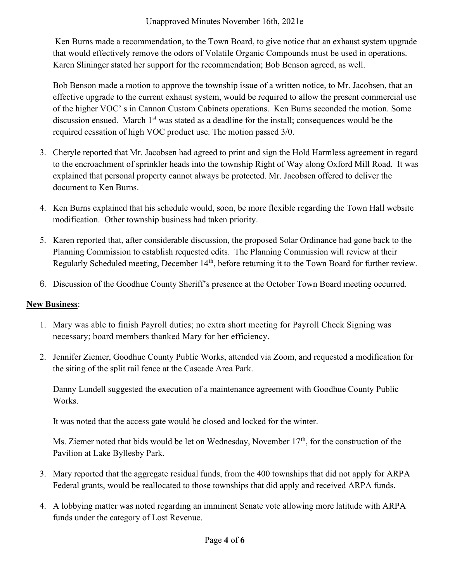Ken Burns made a recommendation, to the Town Board, to give notice that an exhaust system upgrade that would effectively remove the odors of Volatile Organic Compounds must be used in operations. Karen Slininger stated her support for the recommendation; Bob Benson agreed, as well.

Bob Benson made a motion to approve the township issue of a written notice, to Mr. Jacobsen, that an effective upgrade to the current exhaust system, would be required to allow the present commercial use of the higher VOC' s in Cannon Custom Cabinets operations. Ken Burns seconded the motion. Some discussion ensued. March 1<sup>st</sup> was stated as a deadline for the install; consequences would be the required cessation of high VOC product use. The motion passed 3/0.

- 3. Cheryle reported that Mr. Jacobsen had agreed to print and sign the Hold Harmless agreement in regard to the encroachment of sprinkler heads into the township Right of Way along Oxford Mill Road. It was explained that personal property cannot always be protected. Mr. Jacobsen offered to deliver the document to Ken Burns.
- 4. Ken Burns explained that his schedule would, soon, be more flexible regarding the Town Hall website modification. Other township business had taken priority.
- 5. Karen reported that, after considerable discussion, the proposed Solar Ordinance had gone back to the Planning Commission to establish requested edits. The Planning Commission will review at their Regularly Scheduled meeting, December 14<sup>th</sup>, before returning it to the Town Board for further review.
- 6. Discussion of the Goodhue County Sheriff's presence at the October Town Board meeting occurred.

#### New Business:

- 1. Mary was able to finish Payroll duties; no extra short meeting for Payroll Check Signing was necessary; board members thanked Mary for her efficiency.
- 2. Jennifer Ziemer, Goodhue County Public Works, attended via Zoom, and requested a modification for the siting of the split rail fence at the Cascade Area Park.

Danny Lundell suggested the execution of a maintenance agreement with Goodhue County Public Works.

It was noted that the access gate would be closed and locked for the winter.

Ms. Ziemer noted that bids would be let on Wednesday, November  $17<sup>th</sup>$ , for the construction of the Pavilion at Lake Byllesby Park.

- 3. Mary reported that the aggregate residual funds, from the 400 townships that did not apply for ARPA Federal grants, would be reallocated to those townships that did apply and received ARPA funds.
- 4. A lobbying matter was noted regarding an imminent Senate vote allowing more latitude with ARPA funds under the category of Lost Revenue.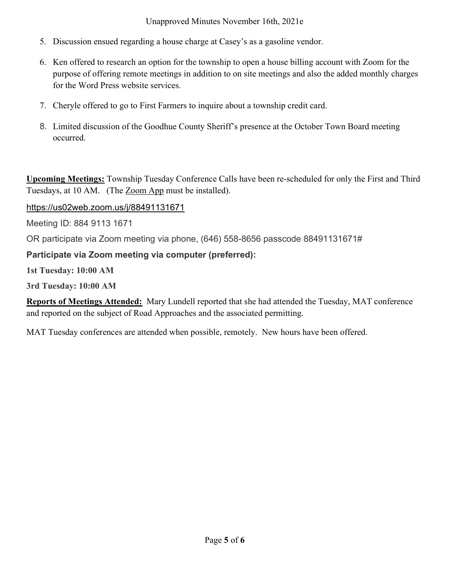#### Unapproved Minutes November 16th, 2021e

- 5. Discussion ensued regarding a house charge at Casey's as a gasoline vendor.
- 6. Ken offered to research an option for the township to open a house billing account with Zoom for the purpose of offering remote meetings in addition to on site meetings and also the added monthly charges for the Word Press website services.
- 7. Cheryle offered to go to First Farmers to inquire about a township credit card.
- 8. Limited discussion of the Goodhue County Sheriff's presence at the October Town Board meeting occurred.

Upcoming Meetings: Township Tuesday Conference Calls have been re-scheduled for only the First and Third Tuesdays, at 10 AM. (The Zoom App must be installed).

### https://us02web.zoom.us/j/88491131671

Meeting ID: 884 9113 1671

OR participate via Zoom meeting via phone, (646) 558-8656 passcode 88491131671#

## Participate via Zoom meeting via computer (preferred):

1st Tuesday: 10:00 AM

3rd Tuesday: 10:00 AM

Reports of Meetings Attended: Mary Lundell reported that she had attended the Tuesday, MAT conference and reported on the subject of Road Approaches and the associated permitting.

MAT Tuesday conferences are attended when possible, remotely. New hours have been offered.